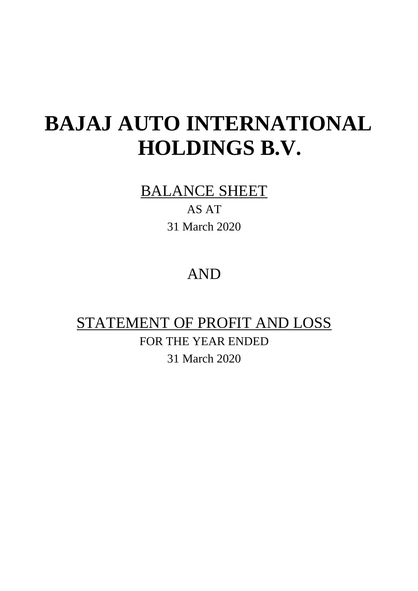## BALANCE SHEET

AS AT 31 March 2020

## AND

## STATEMENT OF PROFIT AND LOSS

FOR THE YEAR ENDED 31 March 2020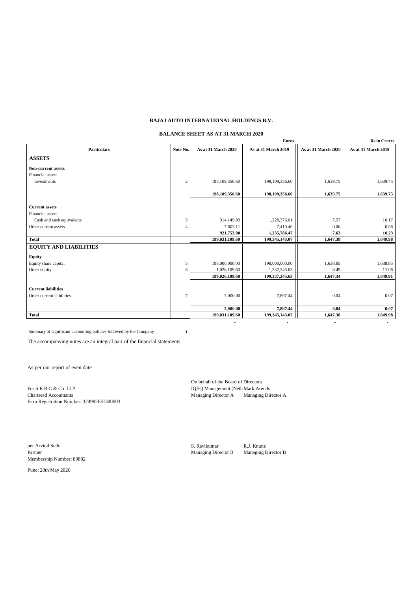### **BALANCE SHEET AS AT 31 MARCH 2020**

| <b>Euros</b>                  |                  |                          |                          |                     | <b>Rs</b> in Crores |
|-------------------------------|------------------|--------------------------|--------------------------|---------------------|---------------------|
| <b>Particulars</b>            | Note No.         | As at 31 March 2020      | As at 31 March 2019      | As at 31 March 2020 | As at 31 March 2019 |
| <b>ASSETS</b>                 |                  |                          |                          |                     |                     |
| Non-current assets            |                  |                          |                          |                     |                     |
| Financial assets              |                  |                          |                          |                     |                     |
| Investments                   | $\boldsymbol{2}$ | 198,109,356.60           | 198,109,356.60           | 1,639.75            | 1,639.75            |
|                               |                  | 198,109,356.60           | 198,109,356.60           | 1,639.75            | 1,639.75            |
|                               |                  |                          |                          |                     |                     |
| <b>Current assets</b>         |                  |                          |                          |                     |                     |
| Financial assets              |                  |                          |                          |                     |                     |
| Cash and cash equivalents     | 3                | 914,149.89               | 1,228,376.01             | 7.57                | 10.17               |
| Other current assets          | $\overline{4}$   | 7,603.11                 | 7,410.46                 | 0.06                | 0.06                |
|                               |                  | 921,753.00               | 1,235,786.47             | 7.63                | 10.23               |
| <b>Total</b>                  |                  | 199,031,109.60           | 199,345,143.07           | 1,647.38            | 1,649.98            |
| <b>EQUITY AND LIABILITIES</b> |                  |                          |                          |                     |                     |
| <b>Equity</b>                 |                  |                          |                          |                     |                     |
| Equity share capital          | 5                | 198,000,000.00           | 198,000,000.00           | 1,638.85            | 1,638.85            |
| Other equity                  | 6                | 1.026.109.60             | 1,337,245.63             | 8.49                | 11.06               |
|                               |                  | 199,026,109.60           | 199, 337, 245.63         | 1,647.34            | 1,649.91            |
| <b>Current liabilities</b>    |                  |                          |                          |                     |                     |
| Other current liabilities     | $\tau$           | 5,000.00                 | 7,897.44                 | 0.04                | 0.07                |
|                               |                  |                          |                          |                     |                     |
|                               |                  | 5,000.00                 | 7,897.44                 | 0.04                | 0.07                |
| <b>Total</b>                  |                  | 199,031,109.60           | 199,345,143.07           | 1,647.38            | 1,649.98            |
|                               |                  | $\overline{\phantom{a}}$ | $\overline{\phantom{a}}$ | ٠                   |                     |

Summary of significant accounting policies followed by the Company 1

The accompanying notes are an integral part of the financial statements

As per our report of even date

Firm Registration Number: 324982E/E300003

On behalf of the Board of Directors For S R B C & Co LLP<br>
Chartered Accountants<br>
Chartered Accountants<br>
Director A Managing Director A Managing Director A Managing Director A Managing Director A

per Arvind Sethi S. Ravikumar R.J. Knunz Partner Managing Director B Managing Director B Managing Director B Membership Number: 89802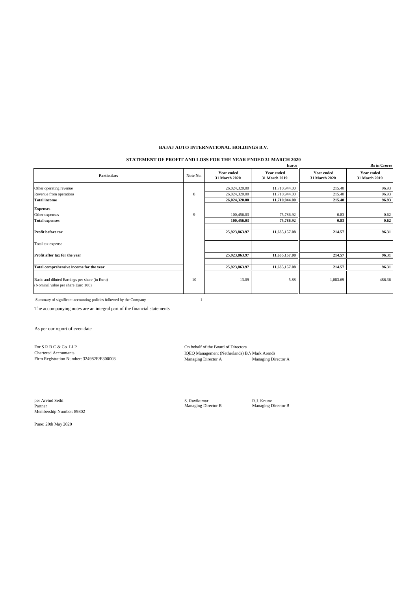### **STATEMENT OF PROFIT AND LOSS FOR THE YEAR ENDED 31 MARCH 2020**

| <b>Rs</b> in Crores<br>Euros                                                         |          |                             |                                    |                                    |                                    |
|--------------------------------------------------------------------------------------|----------|-----------------------------|------------------------------------|------------------------------------|------------------------------------|
| <b>Particulars</b>                                                                   | Note No. | Year ended<br>31 March 2020 | <b>Year ended</b><br>31 March 2019 | <b>Year ended</b><br>31 March 2020 | <b>Year ended</b><br>31 March 2019 |
| Other operating revenue                                                              |          | 26,024,320.00               | 11,710,944.00                      | 215.40                             | 96.93                              |
| Revenue from operations                                                              | 8        | 26,024,320.00               | 11,710,944.00                      | 215.40                             | 96.93                              |
| <b>Total income</b>                                                                  |          | 26,024,320.00               | 11,710,944.00                      | 215.40                             | 96.93                              |
| <b>Expenses</b>                                                                      |          |                             |                                    |                                    |                                    |
| Other expenses                                                                       | 9        | 100,456.03                  | 75,786.92                          | 0.83                               | 0.62                               |
| <b>Total expenses</b>                                                                |          | 100,456.03                  | 75,786.92                          | 0.83                               | 0.62                               |
| Profit before tax                                                                    |          | 25,923,863.97               | 11,635,157.08                      | 214.57                             | 96.31                              |
| Total tax expense                                                                    |          | ٠                           | ٠                                  | $\overline{\phantom{a}}$           |                                    |
| Profit after tax for the year                                                        |          | 25,923,863.97               | 11,635,157.08                      | 214.57                             | 96.31                              |
|                                                                                      |          |                             |                                    |                                    |                                    |
| Total comprehensive income for the year                                              |          | 25,923,863.97               | 11,635,157.08                      | 214.57                             | 96.31                              |
| Basic and diluted Earnings per share (in Euro)<br>(Nominal value per share Euro 100) | 10       | 13.09                       | 5.88                               | 1,083.69                           | 486.36                             |

Summary of significant accounting policies followed by the Company 1

The accompanying notes are an integral part of the financial statements

As per our report of even date

For S R B C & Co LLP On behalf of the Board of Directors<br>
Chartered Accountants<br>
IQEO Management (Netherlands) B Firm Registration Number: 324982E/E300003

IQEQ Management (Netherlands) B.V.Mark Arends<br>Managing Director A<br>Managing Director A

per Arvind Sethi S. Ravikumar R.J. Knunz Partner Managing Director B Managing Director B Membership Number: 89802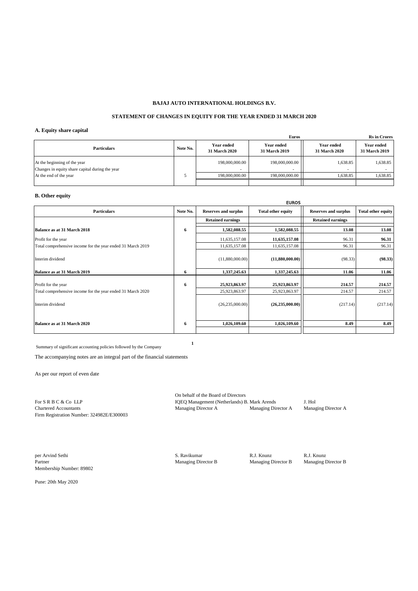#### **STATEMENT OF CHANGES IN EQUITY FOR THE YEAR ENDED 31 MARCH 2020**

#### **A. Equity share capital**

|                                                                                 |          |                                           | <b>Euros</b>                       | <b>Rs</b> in Crores                       |                                    |
|---------------------------------------------------------------------------------|----------|-------------------------------------------|------------------------------------|-------------------------------------------|------------------------------------|
| <b>Particulars</b>                                                              | Note No. | <b>Year ended</b><br><b>31 March 2020</b> | <b>Year ended</b><br>31 March 2019 | <b>Year ended</b><br><b>31 March 2020</b> | <b>Year ended</b><br>31 March 2019 |
| At the beginning of the year<br>Changes in equity share capital during the year |          | 198,000,000.00                            | 198,000,000.00                     | 1.638.85<br>$\overline{\phantom{a}}$      | 1,638.85                           |
| At the end of the year                                                          |          | 198,000,000,00                            | 198,000,000.00                     | 1,638.85                                  | 1,638.85                           |
|                                                                                 |          |                                           |                                    |                                           |                                    |

### **B. Other equity**

|                                                                                    |          | <b>EUROS</b>                   |                                |                             |                           |  |
|------------------------------------------------------------------------------------|----------|--------------------------------|--------------------------------|-----------------------------|---------------------------|--|
| <b>Particulars</b>                                                                 | Note No. | <b>Reserves and surplus</b>    | <b>Total other equity</b>      | <b>Reserves and surplus</b> | <b>Total other equity</b> |  |
|                                                                                    |          | <b>Retained earnings</b>       |                                | <b>Retained earnings</b>    |                           |  |
| Balance as at 31 March 2018                                                        | 6        | 1,582,088.55                   | 1,582,088.55                   | 13.08                       | 13.08                     |  |
| Profit for the year                                                                |          | 11,635,157.08                  | 11,635,157.08                  | 96.31                       | 96.31                     |  |
| Total comprehensive income for the year ended 31 March 2019                        |          | 11,635,157.08                  | 11,635,157.08                  | 96.31                       | 96.31                     |  |
| Interim dividend                                                                   |          | (11,880,000.00)                | (11,880,000.00)                | (98.33)                     | (98.33)                   |  |
| Balance as at 31 March 2019                                                        | 6        | 1,337,245.63                   | 1,337,245.63                   | 11.06                       | 11.06                     |  |
| Profit for the year<br>Total comprehensive income for the year ended 31 March 2020 | 6        | 25,923,863.97<br>25,923,863.97 | 25,923,863.97<br>25,923,863.97 | 214.57<br>214.57            | 214.57<br>214.57          |  |
| Interim dividend                                                                   |          | (26, 235, 000.00)              | (26, 235, 000.00)              | (217.14)                    | (217.14)                  |  |
| Balance as at 31 March 2020                                                        | 6        | 1,026,109.60                   | 1,026,109.60                   | 8.49                        | 8.49                      |  |

Summary of significant accounting policies followed by the Company

The accompanying notes are an integral part of the financial statements

As per our report of even date

| For S R B C & Co LLP                      |
|-------------------------------------------|
| <b>Chartered Accountants</b>              |
| Firm Registration Number: 324982E/E300003 |

On behalf of the Board of Directors For Separation (Netherlands) B. Mark Arends J. Hol<br>Managing Director A Managing Director A Managing Director A Managing Director A Managing Director A

per Arvind Sethi S. Ravikumar R.J. Knunz R.J. Knunz Partner Managing Director B Managing Director B Managing Director B Membership Number: 89802

 **1**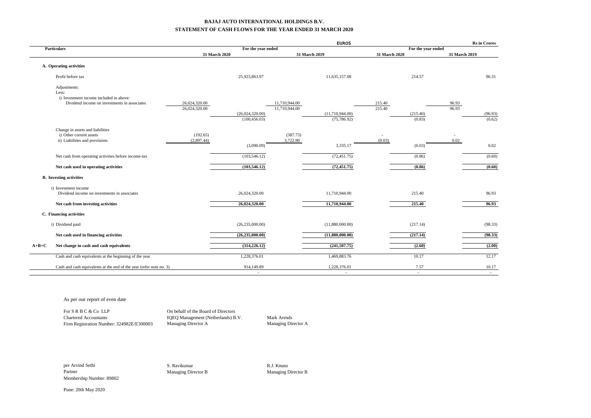#### **BAJAJ AUTO INTERNATIONAL HOLDINGS B.V. STATEMENT OF CASH FLOWS FOR THE YEAR ENDED 31 MARCH 2020**

|                                                                     |                                |                    |                                | <b>EUROS</b>             |                  |                    |                | <b>Rs</b> in Crores |
|---------------------------------------------------------------------|--------------------------------|--------------------|--------------------------------|--------------------------|------------------|--------------------|----------------|---------------------|
| <b>Particulars</b>                                                  |                                | For the year ended |                                |                          |                  | For the year ended |                |                     |
|                                                                     | 31 March 2020                  |                    |                                | 31 March 2019            | 31 March 2020    |                    | 31 March 2019  |                     |
| A. Operating activities                                             |                                |                    |                                |                          |                  |                    |                |                     |
| Profit before tax                                                   |                                | 25,923,863.97      |                                | 11,635,157.08            |                  | 214.57             |                | 96.31               |
| Adjustments:<br>Less:                                               |                                |                    |                                |                          |                  |                    |                |                     |
| i) Investment income included in above:                             |                                |                    |                                |                          |                  |                    |                |                     |
| Dividend income on investments in associates                        | 26,024,320.00<br>26,024,320.00 |                    | 11,710,944.00<br>11,710,944.00 |                          | 215.40<br>215.40 |                    | 96.93<br>96.93 |                     |
|                                                                     |                                | (26,024,320.00)    |                                | (11,710,944.00)          |                  | (215.40)           |                | (96.93)             |
|                                                                     |                                | (100, 456.03)      |                                | (75, 786.92)             |                  | (0.83)             |                | (0.62)              |
| Change in assets and liabilities                                    |                                |                    |                                |                          |                  |                    |                |                     |
| i) Other current assets                                             | (192.65)                       |                    | (387.73)                       |                          | ٠                |                    |                |                     |
| ii) Liabilities and provisions                                      | (2,897.44)                     |                    | 3,722.90                       |                          | (0.03)           |                    | 0.02           |                     |
|                                                                     |                                | (3,090.09)         |                                | 3,335.17                 |                  | (0.03)             |                | 0.02                |
| Net cash from operating activities before income-tax                |                                | (103, 546.12)      |                                | (72, 451.75)             |                  | (0.86)             |                | (0.60)              |
| Net cash used in operating activities                               |                                | (103, 546.12)      |                                | (72, 451.75)             |                  | (0.86)             |                | (0.60)              |
| <b>B.</b> Investing activities                                      |                                |                    |                                |                          |                  |                    |                |                     |
| i) Investment income                                                |                                |                    |                                |                          |                  |                    |                |                     |
| Dividend income on investments in associates                        |                                | 26,024,320.00      |                                | 11,710,944.00            |                  | 215.40             |                | 96.93               |
| Net cash from investing activities                                  |                                | 26,024,320.00      |                                | 11,710,944.00            |                  | 215.40             |                | 96.93               |
| C. Financing activities                                             |                                |                    |                                |                          |                  |                    |                |                     |
| i) Dividend paid                                                    |                                | (26, 235, 000.00)  |                                | (11,880,000.00)          |                  | (217.14)           |                | (98.33)             |
| Net cash used in financing activities                               |                                | (26, 235, 000.00)  |                                | (11,880,000.00)          |                  | (217.14)           |                | (98.33)             |
| Net change in cash and cash equivalents<br>$A+B+C$                  |                                | (314, 226.12)      |                                | (241, 507, 75)           |                  | (2.60)             |                | (2.00)              |
| Cash and cash equivalents at the beginning of the year              |                                | 1,228,376.01       |                                | 1,469,883.76             |                  | 10.17              |                | 12.17               |
| Cash and cash equivalents at the end of the year (refer note no. 3) |                                | 914,149.89         |                                | 1,228,376.01             |                  | 7.57               |                | 10.17               |
|                                                                     |                                | $\overline{a}$     |                                | $\overline{\phantom{a}}$ |                  | $\sim$             |                | $\sim$              |

As per our report of even date

| For S R B C & Co LLP                      | On behalf of      |
|-------------------------------------------|-------------------|
| <b>Chartered Accountants</b>              | <b>IQEQ Manag</b> |
| Firm Registration Number: 324982E/E300003 | Managing Di       |

the Board of Directors gement (Netherlands) B.V. Mark Arends Firector A Managing Director A

Partner Managing Director B Managing Director B Managing Director B Membership Number: 89802

per Arvind Sethi S. Ravikumar R.J. Knunz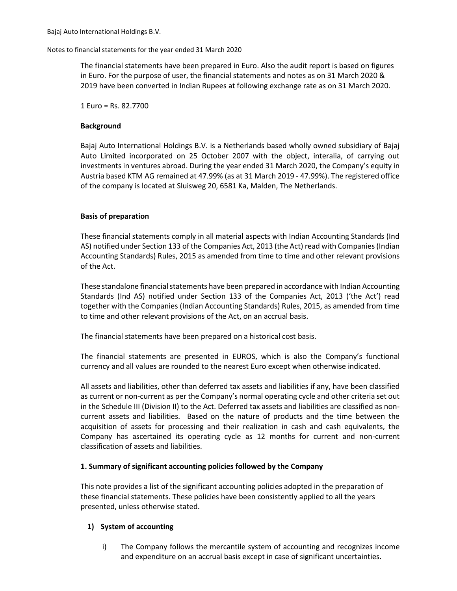The financial statements have been prepared in Euro. Also the audit report is based on figures in Euro. For the purpose of user, the financial statements and notes as on 31 March 2020 & 2019 have been converted in Indian Rupees at following exchange rate as on 31 March 2020.

1 Euro = Rs. 82.7700

### **Background**

Bajaj Auto International Holdings B.V. is a Netherlands based wholly owned subsidiary of Bajaj Auto Limited incorporated on 25 October 2007 with the object, interalia, of carrying out investments in ventures abroad. During the year ended 31 March 2020, the Company's equity in Austria based KTM AG remained at 47.99% (as at 31 March 2019 - 47.99%). The registered office of the company is located at Sluisweg 20, 6581 Ka, Malden, The Netherlands.

### **Basis of preparation**

These financial statements comply in all material aspects with Indian Accounting Standards (Ind AS) notified under Section 133 of the Companies Act, 2013 (the Act) read with Companies (Indian Accounting Standards) Rules, 2015 as amended from time to time and other relevant provisions of the Act.

These standalone financial statements have been prepared in accordance with Indian Accounting Standards (Ind AS) notified under Section 133 of the Companies Act, 2013 ('the Act') read together with the Companies (Indian Accounting Standards) Rules, 2015, as amended from time to time and other relevant provisions of the Act, on an accrual basis.

The financial statements have been prepared on a historical cost basis.

The financial statements are presented in EUROS, which is also the Company's functional currency and all values are rounded to the nearest Euro except when otherwise indicated.

All assets and liabilities, other than deferred tax assets and liabilities if any, have been classified as current or non-current as per the Company's normal operating cycle and other criteria set out in the Schedule III (Division II) to the Act. Deferred tax assets and liabilities are classified as noncurrent assets and liabilities. Based on the nature of products and the time between the acquisition of assets for processing and their realization in cash and cash equivalents, the Company has ascertained its operating cycle as 12 months for current and non-current classification of assets and liabilities.

### **1. Summary of significant accounting policies followed by the Company**

This note provides a list of the significant accounting policies adopted in the preparation of these financial statements. These policies have been consistently applied to all the years presented, unless otherwise stated.

### **1) System of accounting**

 i) The Company follows the mercantile system of accounting and recognizes income and expenditure on an accrual basis except in case of significant uncertainties.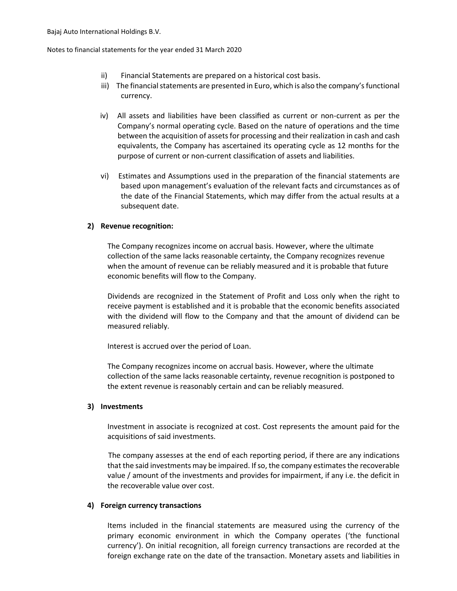- ii) Financial Statements are prepared on a historical cost basis.
- iii) The financial statements are presented in Euro, which is also the company's functional currency.
- iv) All assets and liabilities have been classified as current or non-current as per the Company's normal operating cycle. Based on the nature of operations and the time between the acquisition of assets for processing and their realization in cash and cash equivalents, the Company has ascertained its operating cycle as 12 months for the purpose of current or non-current classification of assets and liabilities.
- vi) Estimates and Assumptions used in the preparation of the financial statements are based upon management's evaluation of the relevant facts and circumstances as of the date of the Financial Statements, which may differ from the actual results at a subsequent date.

### **2) Revenue recognition:**

The Company recognizes income on accrual basis. However, where the ultimate collection of the same lacks reasonable certainty, the Company recognizes revenue when the amount of revenue can be reliably measured and it is probable that future economic benefits will flow to the Company.

Dividends are recognized in the Statement of Profit and Loss only when the right to receive payment is established and it is probable that the economic benefits associated with the dividend will flow to the Company and that the amount of dividend can be measured reliably.

Interest is accrued over the period of Loan.

The Company recognizes income on accrual basis. However, where the ultimate collection of the same lacks reasonable certainty, revenue recognition is postponed to the extent revenue is reasonably certain and can be reliably measured.

### **3) Investments**

Investment in associate is recognized at cost. Cost represents the amount paid for the acquisitions of said investments.

The company assesses at the end of each reporting period, if there are any indications that the said investments may be impaired. If so, the company estimates the recoverable value / amount of the investments and provides for impairment, if any i.e. the deficit in the recoverable value over cost.

### **4) Foreign currency transactions**

Items included in the financial statements are measured using the currency of the primary economic environment in which the Company operates ('the functional currency'). On initial recognition, all foreign currency transactions are recorded at the foreign exchange rate on the date of the transaction. Monetary assets and liabilities in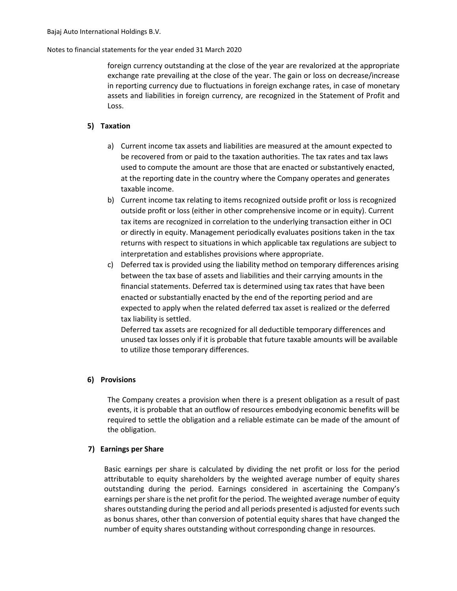foreign currency outstanding at the close of the year are revalorized at the appropriate exchange rate prevailing at the close of the year. The gain or loss on decrease/increase in reporting currency due to fluctuations in foreign exchange rates, in case of monetary assets and liabilities in foreign currency, are recognized in the Statement of Profit and Loss.

### **5) Taxation**

- a) Current income tax assets and liabilities are measured at the amount expected to be recovered from or paid to the taxation authorities. The tax rates and tax laws used to compute the amount are those that are enacted or substantively enacted, at the reporting date in the country where the Company operates and generates taxable income.
- b) Current income tax relating to items recognized outside profit or loss is recognized outside profit or loss (either in other comprehensive income or in equity). Current tax items are recognized in correlation to the underlying transaction either in OCI or directly in equity. Management periodically evaluates positions taken in the tax returns with respect to situations in which applicable tax regulations are subject to interpretation and establishes provisions where appropriate.
- c) Deferred tax is provided using the liability method on temporary differences arising between the tax base of assets and liabilities and their carrying amounts in the financial statements. Deferred tax is determined using tax rates that have been enacted or substantially enacted by the end of the reporting period and are expected to apply when the related deferred tax asset is realized or the deferred tax liability is settled.

Deferred tax assets are recognized for all deductible temporary differences and unused tax losses only if it is probable that future taxable amounts will be available to utilize those temporary differences.

### **6) Provisions**

The Company creates a provision when there is a present obligation as a result of past events, it is probable that an outflow of resources embodying economic benefits will be required to settle the obligation and a reliable estimate can be made of the amount of the obligation.

### **7) Earnings per Share**

Basic earnings per share is calculated by dividing the net profit or loss for the period attributable to equity shareholders by the weighted average number of equity shares outstanding during the period. Earnings considered in ascertaining the Company's earnings per share is the net profit for the period. The weighted average number of equity shares outstanding during the period and all periods presented is adjusted for events such as bonus shares, other than conversion of potential equity shares that have changed the number of equity shares outstanding without corresponding change in resources.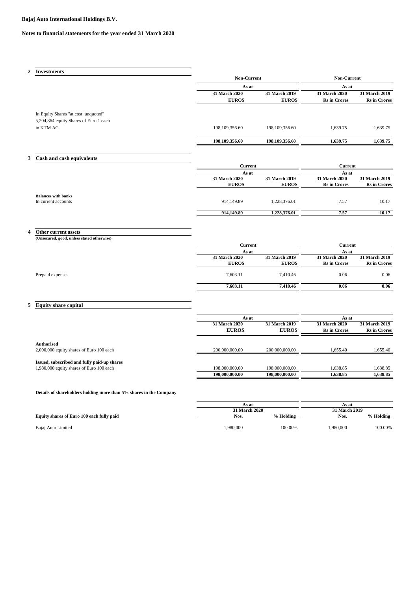### **Notes to financial statements for the year ended 31 March 2020**

| 2 | <b>Investments</b>                         |                               |                               |                                               |                                      |
|---|--------------------------------------------|-------------------------------|-------------------------------|-----------------------------------------------|--------------------------------------|
|   |                                            | <b>Non-Current</b>            |                               | <b>Non-Current</b>                            |                                      |
|   |                                            | As at                         |                               | As at                                         |                                      |
|   |                                            | 31 March 2020                 | 31 March 2019                 | 31 March 2020                                 | 31 March 2019                        |
|   |                                            | <b>EUROS</b>                  | <b>EUROS</b>                  | <b>Rs</b> in Crores                           | <b>Rs</b> in Crores                  |
|   | In Equity Shares "at cost, unquoted"       |                               |                               |                                               |                                      |
|   | 5,204,864 equity Shares of Euro 1 each     |                               |                               |                                               |                                      |
|   | in KTM AG                                  | 198,109,356.60                | 198, 109, 356.60              | 1,639.75                                      | 1,639.75                             |
|   |                                            | 198,109,356.60                | 198,109,356.60                | 1,639.75                                      | 1,639.75                             |
| 3 | Cash and cash equivalents                  |                               |                               |                                               |                                      |
|   |                                            | <b>Current</b>                |                               | <b>Current</b>                                |                                      |
|   |                                            | As at                         |                               |                                               |                                      |
|   |                                            | 31 March 2020<br><b>EUROS</b> | 31 March 2019<br><b>EUROS</b> | As at<br>31 March 2020<br><b>Rs</b> in Crores | 31 March 2019<br><b>Rs</b> in Crores |
|   |                                            |                               |                               |                                               |                                      |
|   | <b>Balances with banks</b>                 |                               |                               |                                               |                                      |
|   | In current accounts                        | 914,149.89                    | 1,228,376.01                  | 7.57                                          | 10.17                                |
|   |                                            | 914,149.89                    | 1,228,376.01                  | 7.57                                          | 10.17                                |
|   |                                            |                               |                               |                                               |                                      |
| 4 | Other current assets                       |                               |                               |                                               |                                      |
|   | (Unsecured, good, unless stated otherwise) |                               |                               |                                               |                                      |
|   |                                            | Current                       |                               | Current                                       |                                      |
|   |                                            | As at<br>31 March 2020        | 31 March 2019                 | As at<br>31 March 2020                        | 31 March 2019                        |
|   |                                            | <b>EUROS</b>                  | <b>EUROS</b>                  | <b>Rs</b> in Crores                           | <b>Rs</b> in Crores                  |
|   | Prepaid expenses                           | 7,603.11                      | 7,410.46                      | 0.06                                          | 0.06                                 |

### **5 Equity share capital**

|                                             | As at          |                      | As at                |                     |
|---------------------------------------------|----------------|----------------------|----------------------|---------------------|
|                                             | 31 March 2020  | <b>31 March 2019</b> | <b>31 March 2020</b> | 31 March 2019       |
|                                             | <b>EUROS</b>   | <b>EUROS</b>         | <b>Rs</b> in Crores  | <b>Rs</b> in Crores |
| <b>Authorised</b>                           |                |                      |                      |                     |
| 2,000,000 equity shares of Euro 100 each    | 200,000,000,00 | 200,000,000,00       | 1.655.40             | 1,655.40            |
| Issued, subscribed and fully paid-up shares |                |                      |                      |                     |
| 1,980,000 equity shares of Euro 100 each    | 198,000,000.00 | 198,000,000,00       | 1,638.85             | 1,638.85            |
|                                             | 198,000,000.00 | 198,000,000.00       | 1.638.85             | 1,638.85            |

**7,603.11 7,410.46 0.06 0.06 0.06** 

### **Details of shareholders holding more than 5% shares in the Company**

|                                           | As at         |           | As at<br>31 March 2019 |           |
|-------------------------------------------|---------------|-----------|------------------------|-----------|
|                                           | 31 March 2020 |           |                        |           |
| Equity shares of Euro 100 each fully paid | Nos.          | % Holding | Nos.                   | % Holding |
|                                           |               |           |                        |           |
| Bajaj Auto Limited                        | .980.000      | 100.00%   | 1.980.000              | 100.00%   |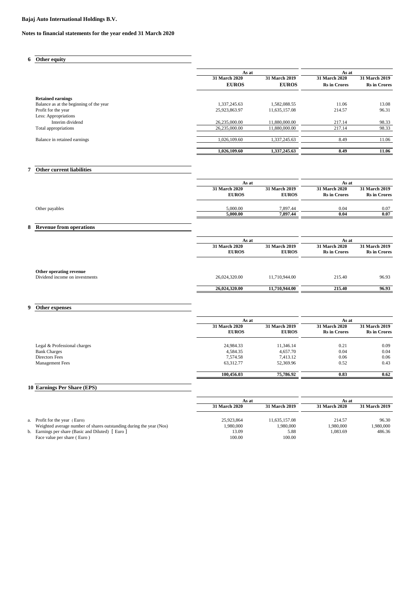#### **Notes to financial statements for the year ended 31 March 2020**

### **6 Other equity**

|                                         | As at                         |                               | As at                                |                                      |
|-----------------------------------------|-------------------------------|-------------------------------|--------------------------------------|--------------------------------------|
|                                         | 31 March 2020<br><b>EUROS</b> | 31 March 2019<br><b>EUROS</b> | 31 March 2020<br><b>Rs</b> in Crores | 31 March 2019<br><b>Rs</b> in Crores |
| <b>Retained earnings</b>                |                               |                               |                                      |                                      |
| Balance as at the beginning of the year | 1,337,245.63                  | 1,582,088.55                  | 11.06                                | 13.08                                |
| Profit for the year                     | 25,923,863.97                 | 11,635,157.08                 | 214.57                               | 96.31                                |
| Less: Appropriations                    |                               |                               |                                      |                                      |
| Interim dividend                        | 26,235,000.00                 | 11,880,000.00                 | 217.14                               | 98.33                                |
| Total appropriations                    | 26,235,000.00                 | 11.880,000.00                 | 217.14                               | 98.33                                |
| Balance in retained earnings            | 1.026.109.60                  | 1.337.245.63                  | 8.49                                 | 11.06                                |
|                                         | 1,026,109.60                  | 1,337,245.63                  | 8.49                                 | 11.06                                |

### **7 Other current liabilities**

| As at                                |                               | As at                                       |                                      |
|--------------------------------------|-------------------------------|---------------------------------------------|--------------------------------------|
| <b>31 March 2020</b><br><b>EUROS</b> | 31 March 2019<br><b>EUROS</b> | <b>31 March 2020</b><br><b>Rs</b> in Crores | 31 March 2019<br><b>Rs</b> in Crores |
| 5,000.00                             | 7.897.44                      | 0.04                                        | 0.07                                 |
| 5.000.00                             | 7.897.44                      | 0.04                                        | 0.07                                 |

### **8 Revenue from operations**

|                                                           | As at                                |                                      | As at                                       |                                      |
|-----------------------------------------------------------|--------------------------------------|--------------------------------------|---------------------------------------------|--------------------------------------|
|                                                           | <b>31 March 2020</b><br><b>EUROS</b> | <b>31 March 2019</b><br><b>EUROS</b> | <b>31 March 2020</b><br><b>Rs</b> in Crores | 31 March 2019<br><b>Rs</b> in Crores |
| Other operating revenue<br>Dividend income on investments | 26,024,320.00                        | 11,710,944.00                        | 215.40                                      | 96.93                                |
|                                                           | 26,024,320.00                        | 11,710,944.00                        | 215.40                                      | 96.93                                |

### **9 Other expenses**

|                              | As at                                |                               |                                             | As at                                       |  |
|------------------------------|--------------------------------------|-------------------------------|---------------------------------------------|---------------------------------------------|--|
|                              | <b>31 March 2020</b><br><b>EUROS</b> | 31 March 2019<br><b>EUROS</b> | <b>31 March 2020</b><br><b>Rs</b> in Crores | <b>31 March 2019</b><br><b>Rs</b> in Crores |  |
| Legal & Professional charges | 24,984.33                            | 11,346.14                     | 0.21                                        | 0.09                                        |  |
| <b>Bank Charges</b>          | 4,584.35                             | 4,657.70                      | 0.04                                        | 0.04                                        |  |
| Directors Fees               | 7.574.58                             | 7.413.12                      | 0.06                                        | 0.06                                        |  |
| <b>Management Fees</b>       | 63,312.77                            | 52,369.96                     | 0.52                                        | 0.43                                        |  |
|                              | 100.456.03                           | 75,786.92                     | 0.83                                        | 0.62                                        |  |

### **10 Earnings Per Share (EPS)**

|                                                                     | As at                |               | As at         |               |
|---------------------------------------------------------------------|----------------------|---------------|---------------|---------------|
|                                                                     | <b>31 March 2020</b> | 31 March 2019 | 31 March 2020 | 31 March 2019 |
|                                                                     |                      |               |               |               |
| a. Profit for the year (Euro)                                       | 25.923.864           | 11.635.157.08 | 214.57        | 96.30         |
| Weighted average number of shares outstanding during the year (Nos) | .980,000             | 1.980.000     | 1.980.000     | .980,000      |
| b. Earnings per share (Basic and Diluted) [Euro ]                   | 13.09                | 5.88          | 1.083.69      | 486.36        |
| Face value per share (Euro)                                         | 100.00               | 100.00        |               |               |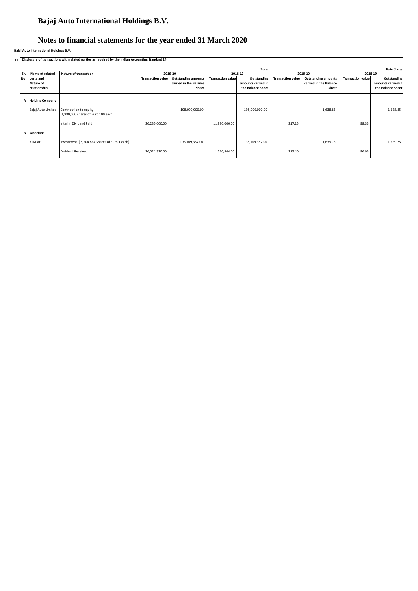### **Notes to financial statements for the year ended 31 March 2020**

**Bajaj Auto International Holdings B.V.**

**11 Disclosure of transactions with related parties as required by the Indian Accounting Standard 24**

| Euros |                    |                                                               |                          |                            |                          |                    |                          | <b>Rs</b> in Crores        |                          |                    |
|-------|--------------------|---------------------------------------------------------------|--------------------------|----------------------------|--------------------------|--------------------|--------------------------|----------------------------|--------------------------|--------------------|
| Sr.   | Name of related    | <b>Nature of transaction</b>                                  |                          | 2019-20                    |                          | 2018-19            |                          | 2019-20                    | 2018-19                  |                    |
| No    | party and          |                                                               | <b>Transaction value</b> | <b>Outstanding amounts</b> | <b>Transaction value</b> | Outstanding        | <b>Transaction value</b> | <b>Outstanding amounts</b> | <b>Transaction value</b> | Outstanding        |
|       | Nature of          |                                                               |                          | carried in the Balance     |                          | amounts carried in |                          | carried in the Balance     |                          | amounts carried in |
|       | relationship       |                                                               |                          | Sheet                      |                          | the Balance Sheet  |                          | Sheet                      |                          | the Balance Sheet  |
|       |                    |                                                               |                          |                            |                          |                    |                          |                            |                          |                    |
|       | A Holding Company  |                                                               |                          |                            |                          |                    |                          |                            |                          |                    |
|       |                    |                                                               |                          |                            |                          |                    |                          |                            |                          |                    |
|       | Bajaj Auto Limited | Contribution to equity<br>(1,980,000 shares of Euro 100 each) |                          | 198,000,000.00             |                          | 198,000,000.00     |                          | 1,638.85                   |                          | 1,638.85           |
|       |                    |                                                               |                          |                            |                          |                    |                          |                            |                          |                    |
|       |                    | Interim Dividend Paid                                         | 26,235,000.00            |                            | 11,880,000.00            |                    | 217.15                   |                            | 98.33                    |                    |
|       |                    |                                                               |                          |                            |                          |                    |                          |                            |                          |                    |
| в     | Associate          |                                                               |                          |                            |                          |                    |                          |                            |                          |                    |
|       | KTM AG             | Investment   5,204,864 Shares of Euro 1 each]                 |                          | 198,109,357.00             |                          | 198,109,357.00     |                          | 1,639.75                   |                          | 1,639.75           |
|       |                    |                                                               |                          |                            |                          |                    |                          |                            |                          |                    |
|       |                    | Dividend Received                                             | 26,024,320.00            |                            | 11,710,944.00            |                    | 215.40                   |                            | 96.93                    |                    |
|       |                    |                                                               |                          |                            |                          |                    |                          |                            |                          |                    |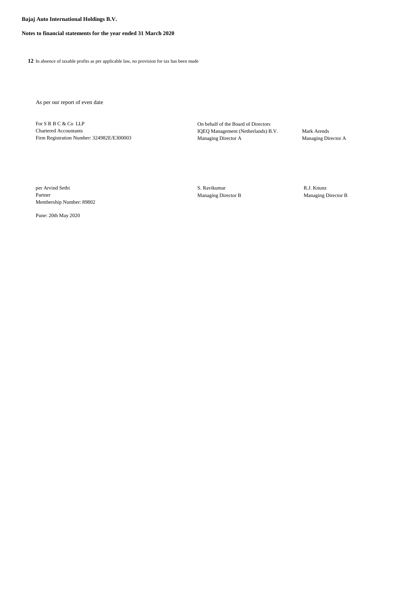#### **Notes to financial statements for the year ended 31 March 2020**

**12** In absence of taxable profits as per applicable law, no provision for tax has been made

As per our report of even date

For S R B C & Co LLP On behalf of the Board of Directors Chartered Accountants IQEQ Management (Netherlands) B.V. Mark Arends Firm Registration Number: 324982E/E300003 Managing Director A Managing Director A

per Arvind Sethi **S. Ravikumar** S. Ravikumar **S. Ravikumar** R.J. Knunz Partner Managing Director B Managing Director B Membership Number: 89802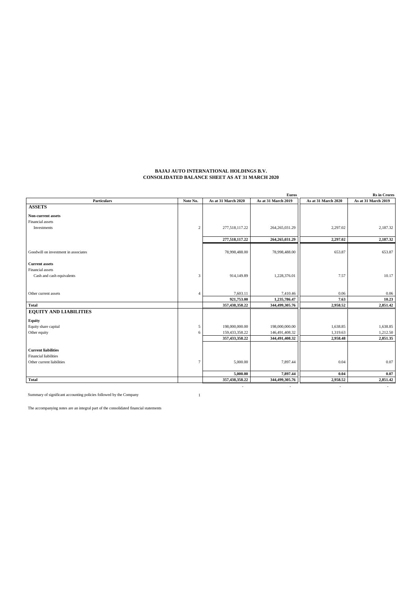#### **BAJAJ AUTO INTERNATIONAL HOLDINGS B.V. CONSOLIDATED BALANCE SHEET AS AT 31 MARCH 2020**

|                                      |                |                          | <b>Euros</b>        |                     | <b>Rs</b> in Crores      |
|--------------------------------------|----------------|--------------------------|---------------------|---------------------|--------------------------|
| <b>Particulars</b>                   | Note No.       | As at 31 March 2020      | As at 31 March 2019 | As at 31 March 2020 | As at 31 March 2019      |
| <b>ASSETS</b>                        |                |                          |                     |                     |                          |
| Non-current assets                   |                |                          |                     |                     |                          |
| Financial assets                     |                |                          |                     |                     |                          |
| Investments                          | $\overline{c}$ | 277,518,117.22           | 264, 265, 031.29    | 2,297.02            | 2,187.32                 |
|                                      |                | 277,518,117.22           | 264, 265, 031.29    | 2,297.02            | 2,187.32                 |
|                                      |                |                          |                     |                     |                          |
| Goodwill on investment in associates |                | 78,998,488.00            | 78,998,488.00       | 653.87              | 653.87                   |
| <b>Current</b> assets                |                |                          |                     |                     |                          |
| Financial assets                     |                |                          |                     |                     |                          |
| Cash and cash equivalents            | 3              | 914,149.89               | 1,228,376.01        | 7.57                | 10.17                    |
|                                      |                |                          |                     |                     |                          |
| Other current assets                 | 4              | 7,603.11                 | 7,410.46            | 0.06                | 0.06                     |
|                                      |                | 921,753.00               | 1,235,786.47        | 7.63                | 10.23                    |
| <b>Total</b>                         |                | 357,438,358.22           | 344,499,305.76      | 2,958.52            | 2,851.42                 |
| <b>EQUITY AND LIABILITIES</b>        |                |                          |                     |                     |                          |
| Equity                               |                |                          |                     |                     |                          |
| Equity share capital                 | 5              | 198,000,000.00           | 198,000,000.00      | 1,638.85            | 1,638.85                 |
| Other equity                         | 6              | 159,433,358.22           | 146,491,408.32      | 1,319.63            | 1,212.50                 |
|                                      |                | 357,433,358.22           | 344,491,408.32      | 2,958.48            | 2,851.35                 |
| <b>Current liabilities</b>           |                |                          |                     |                     |                          |
| <b>Financial liabilities</b>         |                |                          |                     |                     |                          |
| Other current liabilities            | $\overline{7}$ | 5,000.00                 | 7,897.44            | 0.04                | 0.07                     |
|                                      |                |                          |                     |                     |                          |
|                                      |                | 5,000.00                 | 7,897.44            | 0.04                | 0.07                     |
| <b>Total</b>                         |                | 357,438,358.22           | 344,499,305.76      | 2,958.52            | 2,851.42                 |
|                                      |                | $\overline{\phantom{a}}$ | $\sim$              | $\blacksquare$      | $\overline{\phantom{a}}$ |

Summary of significant accounting policies followed by the Company 1

The accompanying notes are an integral part of the consolidated financial statements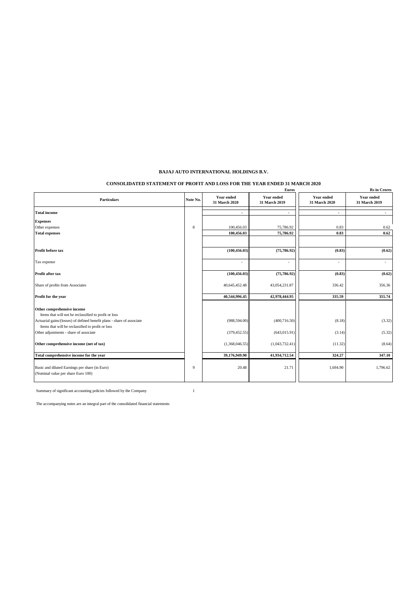#### **CONSOLIDATED STATEMENT OF PROFIT AND LOSS FOR THE YEAR ENDED 31 MARCH 2020**

|                                                                                                                                                               |          |                                    | <b>Euros</b>                |                              | <b>Rs</b> in Crores                |
|---------------------------------------------------------------------------------------------------------------------------------------------------------------|----------|------------------------------------|-----------------------------|------------------------------|------------------------------------|
| <b>Particulars</b>                                                                                                                                            | Note No. | <b>Year ended</b><br>31 March 2020 | Year ended<br>31 March 2019 | Year ended<br>31 March 2020  | <b>Year ended</b><br>31 March 2019 |
| <b>Total income</b>                                                                                                                                           |          |                                    |                             | $\qquad \qquad \blacksquare$ | $\sim$                             |
| <b>Expenses</b>                                                                                                                                               |          |                                    |                             |                              |                                    |
| Other expenses                                                                                                                                                | 8        | 100,456.03                         | 75,786.92                   | 0.83                         | 0.62                               |
| <b>Total expenses</b>                                                                                                                                         |          | 100,456.03                         | 75,786.92                   | 0.83                         | 0.62                               |
| Profit before tax                                                                                                                                             |          | (100, 456.03)                      | (75, 786.92)                | (0.83)                       | (0.62)                             |
| Tax expense                                                                                                                                                   |          |                                    |                             | ÷,                           | $\sim$                             |
| Profit after tax                                                                                                                                              |          | (100, 456.03)                      | (75, 786.92)                | (0.83)                       | (0.62)                             |
| Share of profits from Associates                                                                                                                              |          | 40,645,452.48                      | 43,054,231.87               | 336.42                       | 356.36                             |
| Profit for the year                                                                                                                                           |          | 40.544.996.45                      | 42,978,444.95               | 335.59                       | 355.74                             |
| Other comprehensive income<br>Items that will not be reclassified to profit or loss<br>Actuarial gains/(losses) of defined benefit plans - share of associate |          | (988, 594.00)                      | (400, 716.50)               | (8.18)                       | (3.32)                             |
| Items that will be reclassified to profit or loss                                                                                                             |          |                                    |                             |                              |                                    |
| Other adjustments - share of associate                                                                                                                        |          | (379, 452.55)                      | (643, 015.91)               | (3.14)                       | (5.32)                             |
| Other comprehensive income (net of tax)                                                                                                                       |          | (1,368,046.55)                     | (1,043,732.41)              | (11.32)                      | (8.64)                             |
| Total comprehensive income for the year                                                                                                                       |          | 39,176,949.90                      | 41,934,712.54               | 324.27                       | 347.10                             |
| Basic and diluted Earnings per share (in Euro)<br>(Nominal value per share Euro 100)                                                                          | 9        | 20.48                              | 21.71                       | 1,694.90                     | 1,796.62                           |

Summary of significant accounting policies followed by the Company 1

The accompanying notes are an integral part of the consolidated financial statements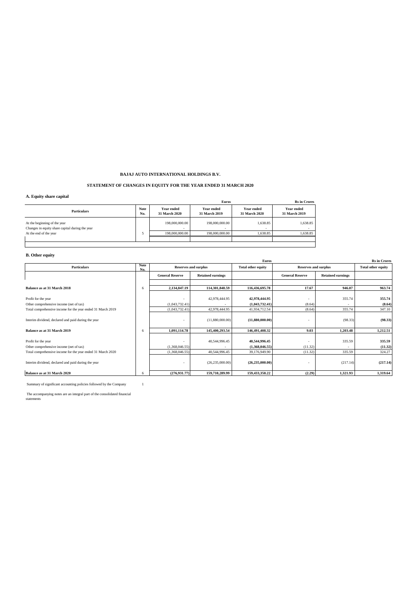#### **STATEMENT OF CHANGES IN EQUITY FOR THE YEAR ENDED 31 MARCH 2020**

#### **A. Equity share capital**

|                                                                                 | <b>Euros</b>       | <b>Rs</b> in Crores                        |                                    |                             |                             |
|---------------------------------------------------------------------------------|--------------------|--------------------------------------------|------------------------------------|-----------------------------|-----------------------------|
| <b>Particulars</b>                                                              | <b>Note</b><br>No. | Year ended<br>31 March 2020                | <b>Year ended</b><br>31 March 2019 | Year ended<br>31 March 2020 | Year ended<br>31 March 2019 |
| At the beginning of the year<br>Changes in equity share capital during the year |                    | 198,000,000.00<br>$\overline{\phantom{a}}$ | 198,000,000,00<br>$\sim$           | 1,638.85                    | 1,638.85<br>$\sim$          |
| At the end of the year                                                          |                    | 198,000,000,00                             | 198,000,000,00                     | 1,638.85                    | 1,638.85                    |
|                                                                                 |                    |                                            |                                    |                             |                             |
|                                                                                 |                    |                                            |                                    |                             |                             |

### **B. Other equity**

| <b>Rs</b> in Crores<br><b>Euros</b>                         |             |                        |                                                                                         |                   |                          |                           |          |
|-------------------------------------------------------------|-------------|------------------------|-----------------------------------------------------------------------------------------|-------------------|--------------------------|---------------------------|----------|
| <b>Particulars</b>                                          | Note<br>No. |                        | <b>Reserves and surplus</b><br><b>Reserves and surplus</b><br><b>Total other equity</b> |                   |                          | <b>Total other equity</b> |          |
|                                                             |             | <b>General Reserve</b> | <b>Retained earnings</b>                                                                |                   | <b>General Reserve</b>   | <b>Retained earnings</b>  |          |
|                                                             |             |                        |                                                                                         |                   |                          |                           |          |
| Balance as at 31 March 2018                                 | 6           | 2,134,847.19           | 114,301,848.59                                                                          | 116,436,695.78    | 17.67                    | 946.07                    | 963.74   |
|                                                             |             |                        |                                                                                         |                   |                          |                           |          |
| Profit for the year                                         |             |                        | 42,978,444.95                                                                           | 42,978,444.95     | $\overline{\phantom{a}}$ | 355.74                    | 355.74   |
| Other comprehensive income (net of tax)                     |             | (1,043,732.41)         |                                                                                         | (1,043,732.41)    | (8.64)                   |                           | (8.64)   |
| Total comprehensive income for the year ended 31 March 2019 |             | (1,043,732.41)         | 42,978,444.95                                                                           | 41,934,712.54     | (8.64)                   | 355.74                    | 347.10   |
| Interim dividend, declared and paid during the year         |             |                        | (11,880,000.00)                                                                         | (11,880,000.00)   | $\overline{\phantom{a}}$ | (98.33)                   | (98.33)  |
| Balance as at 31 March 2019                                 | 6           | 1.091.114.78           | 145,400,293.54                                                                          | 146,491,408.32    | 9.03                     | 1,203.48                  | 1,212.51 |
|                                                             |             |                        |                                                                                         |                   |                          |                           |          |
| Profit for the year                                         |             |                        | 40,544,996.45                                                                           | 40,544,996.45     |                          | 335.59                    | 335.59   |
| Other comprehensive income (net of tax)                     |             | (1,368,046.55)         |                                                                                         | (1,368,046.55)    | (11.32)                  |                           | (11.32)  |
| Total comprehensive income for the year ended 31 March 2020 |             | (1,368,046.55)         | 40,544,996.45                                                                           | 39,176,949.90     | (11.32)                  | 335.59                    | 324.27   |
| Interim dividend, declared and paid during the year         |             |                        | (26, 235, 000.00)                                                                       | (26, 235, 000.00) | $\overline{\phantom{a}}$ | (217.14)                  | (217.14) |
| Balance as at 31 March 2020                                 | 6           | (276, 931, 77)         | 159,710,289.99                                                                          | 159,433,358.22    | (2.29)                   | 1,321.93                  | 1,319.64 |

Summary of significant accounting policies followed by the Company  $\hfill\relax{\rm 1}$ 

The accompanying notes are an integral part of the consolidated financial statements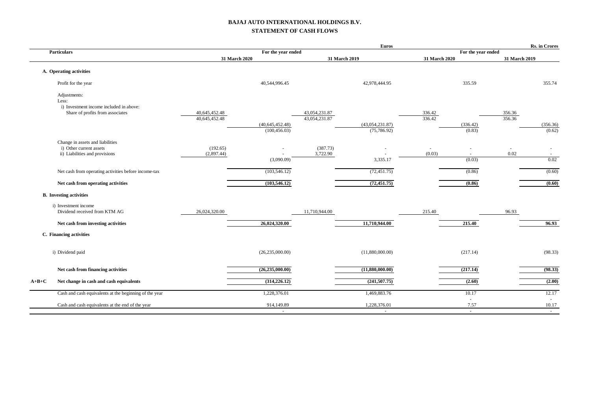### **BAJAJ AUTO INTERNATIONAL HOLDINGS B.V. STATEMENT OF CASH FLOWS**

|         |                                                                                                      |                                |                      |                                | <b>Euros</b>           |                  |                          |                  | Rs. in Crores             |
|---------|------------------------------------------------------------------------------------------------------|--------------------------------|----------------------|--------------------------------|------------------------|------------------|--------------------------|------------------|---------------------------|
|         | <b>Particulars</b>                                                                                   |                                | For the year ended   |                                |                        |                  | For the year ended       |                  |                           |
|         |                                                                                                      |                                | 31 March 2020        |                                | 31 March 2019          | 31 March 2020    |                          | 31 March 2019    |                           |
|         | A. Operating activities                                                                              |                                |                      |                                |                        |                  |                          |                  |                           |
|         | Profit for the year                                                                                  |                                | 40,544,996.45        |                                | 42,978,444.95          |                  | 335.59                   |                  | 355.74                    |
|         | Adjustments:<br>Less:<br>i) Investment income included in above:<br>Share of profits from associates | 40,645,452.48<br>40,645,452.48 | (40, 645, 452.48)    | 43,054,231.87<br>43,054,231.87 | (43,054,231.87)        | 336.42<br>336.42 | (336.42)                 | 356.36<br>356.36 | (356.36)                  |
|         |                                                                                                      |                                | (100, 456.03)        |                                | (75, 786.92)           |                  | (0.83)                   |                  | (0.62)                    |
|         | Change in assets and liabilities<br>i) Other current assets<br>ii) Liabilities and provisions        | (192.65)<br>(2,897.44)         | (3,090.09)           | (387.73)<br>3,722.90           | 3,335.17               | (0.03)           | $\sim$<br>(0.03)         | 0.02             | $\sim$<br>0.02            |
|         | Net cash from operating activities before income-tax                                                 |                                | (103, 546.12)        |                                | (72, 451.75)           |                  | (0.86)                   |                  | (0.60)                    |
|         | Net cash from operating activities                                                                   |                                | (103, 546.12)        |                                | (72, 451.75)           |                  | (0.86)                   |                  | (0.60)                    |
|         | <b>B.</b> Investing activities                                                                       |                                |                      |                                |                        |                  |                          |                  |                           |
|         | i) Investment income<br>Dividend received from KTM AG                                                | 26,024,320.00                  |                      | 11,710,944.00                  |                        | 215.40           |                          | 96.93            |                           |
|         | Net cash from investing activities                                                                   |                                | 26,024,320.00        |                                | 11,710,944.00          |                  | 215.40                   |                  | 96.93                     |
|         | C. Financing activities                                                                              |                                |                      |                                |                        |                  |                          |                  |                           |
|         | i) Dividend paid                                                                                     |                                | (26, 235, 000.00)    |                                | (11,880,000.00)        |                  | (217.14)                 |                  | (98.33)                   |
|         | Net cash from financing activities                                                                   |                                | (26, 235, 000.00)    |                                | (11,880,000.00)        |                  | (217.14)                 |                  | (98.33)                   |
| $A+B+C$ | Net change in cash and cash equivalents                                                              |                                | (314, 226.12)        |                                | (241, 507, 75)         |                  | (2.60)                   |                  | (2.00)                    |
|         | Cash and cash equivalents at the beginning of the year                                               |                                | 1,228,376.01         |                                | 1,469,883.76           |                  | 10.17                    |                  | 12.17                     |
|         | Cash and cash equivalents at the end of the year                                                     |                                | 914,149.89<br>$\sim$ |                                | 1,228,376.01<br>$\sim$ |                  | $\sim$<br>7.57<br>$\sim$ |                  | $\sim$<br>10.17<br>$\sim$ |
|         |                                                                                                      |                                |                      |                                |                        |                  |                          |                  |                           |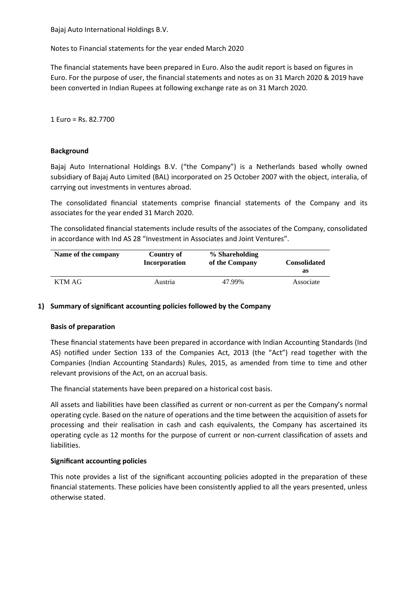Notes to Financial statements for the year ended March 2020

The financial statements have been prepared in Euro. Also the audit report is based on figures in Euro. For the purpose of user, the financial statements and notes as on 31 March 2020 & 2019 have been converted in Indian Rupees at following exchange rate as on 31 March 2020.

1 Euro = Rs. 82.7700

### **Background**

Bajaj Auto International Holdings B.V. ("the Company") is a Netherlands based wholly owned subsidiary of Bajaj Auto Limited (BAL) incorporated on 25 October 2007 with the object, interalia, of carrying out investments in ventures abroad.

The consolidated financial statements comprise financial statements of the Company and its associates for the year ended 31 March 2020.

The consolidated financial statements include results of the associates of the Company, consolidated in accordance with Ind AS 28 "Investment in Associates and Joint Ventures".

| Name of the company | Country of<br>Incorporation | % Shareholding<br>of the Company | <b>Consolidated</b> |
|---------------------|-----------------------------|----------------------------------|---------------------|
|                     |                             |                                  | as                  |
| KTM AG              | Austria                     | 47.99%                           | Associate           |

### **1) Summary of significant accounting policies followed by the Company**

### **Basis of preparation**

These financial statements have been prepared in accordance with Indian Accounting Standards (Ind AS) notified under Section 133 of the Companies Act, 2013 (the "Act") read together with the Companies (Indian Accounting Standards) Rules, 2015, as amended from time to time and other relevant provisions of the Act, on an accrual basis.

The financial statements have been prepared on a historical cost basis.

All assets and liabilities have been classified as current or non-current as per the Company's normal operating cycle. Based on the nature of operations and the time between the acquisition of assets for processing and their realisation in cash and cash equivalents, the Company has ascertained its operating cycle as 12 months for the purpose of current or non-current classification of assets and liabilities.

### **Significant accounting policies**

This note provides a list of the significant accounting policies adopted in the preparation of these financial statements. These policies have been consistently applied to all the years presented, unless otherwise stated.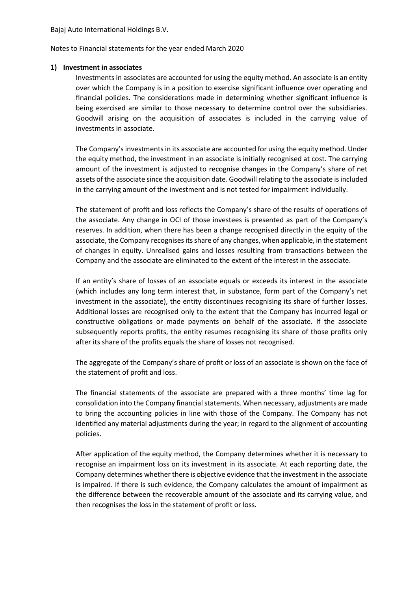Notes to Financial statements for the year ended March 2020

### **1) Investment in associates**

Investments in associates are accounted for using the equity method. An associate is an entity over which the Company is in a position to exercise significant influence over operating and financial policies. The considerations made in determining whether significant influence is being exercised are similar to those necessary to determine control over the subsidiaries. Goodwill arising on the acquisition of associates is included in the carrying value of investments in associate.

The Company's investments in its associate are accounted for using the equity method. Under the equity method, the investment in an associate is initially recognised at cost. The carrying amount of the investment is adjusted to recognise changes in the Company's share of net assets of the associate since the acquisition date. Goodwill relating to the associate is included in the carrying amount of the investment and is not tested for impairment individually.

The statement of profit and loss reflects the Company's share of the results of operations of the associate. Any change in OCI of those investees is presented as part of the Company's reserves. In addition, when there has been a change recognised directly in the equity of the associate, the Company recognises its share of any changes, when applicable, in the statement of changes in equity. Unrealised gains and losses resulting from transactions between the Company and the associate are eliminated to the extent of the interest in the associate.

If an entity's share of losses of an associate equals or exceeds its interest in the associate (which includes any long term interest that, in substance, form part of the Company's net investment in the associate), the entity discontinues recognising its share of further losses. Additional losses are recognised only to the extent that the Company has incurred legal or constructive obligations or made payments on behalf of the associate. If the associate subsequently reports profits, the entity resumes recognising its share of those profits only after its share of the profits equals the share of losses not recognised.

The aggregate of the Company's share of profit or loss of an associate is shown on the face of the statement of profit and loss.

The financial statements of the associate are prepared with a three months' time lag for consolidation into the Company financial statements. When necessary, adjustments are made to bring the accounting policies in line with those of the Company. The Company has not identified any material adjustments during the year; in regard to the alignment of accounting policies.

After application of the equity method, the Company determines whether it is necessary to recognise an impairment loss on its investment in its associate. At each reporting date, the Company determines whether there is objective evidence that the investment in the associate is impaired. If there is such evidence, the Company calculates the amount of impairment as the difference between the recoverable amount of the associate and its carrying value, and then recognises the loss in the statement of profit or loss.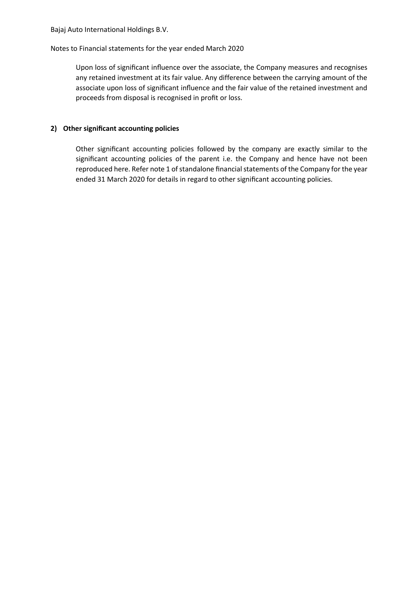### Notes to Financial statements for the year ended March 2020

Upon loss of significant influence over the associate, the Company measures and recognises any retained investment at its fair value. Any difference between the carrying amount of the associate upon loss of significant influence and the fair value of the retained investment and proceeds from disposal is recognised in profit or loss.

### **2) Other significant accounting policies**

Other significant accounting policies followed by the company are exactly similar to the significant accounting policies of the parent i.e. the Company and hence have not been reproduced here. Refer note 1 of standalone financial statements of the Company for the year ended 31 March 2020 for details in regard to other significant accounting policies.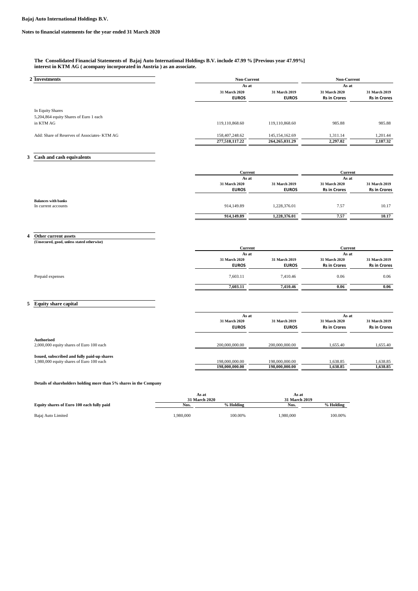#### **The Consolidated Financial Statements of Bajaj Auto International Holdings B.V. include 47.99 % [Previous year 47.99%] interest in KTM AG ( acompany incorporated in Austria ) as an associate.**

| 2 Investments                                | <b>Non-Current</b> |                   | <b>Non-Current</b>  |                      |  |
|----------------------------------------------|--------------------|-------------------|---------------------|----------------------|--|
|                                              | As at              |                   | As at               |                      |  |
|                                              | 31 March 2020      | 31 March 2019     | 31 March 2020       | <b>31 March 2019</b> |  |
|                                              | <b>EUROS</b>       | <b>EUROS</b>      | <b>Rs in Crores</b> | <b>Rs in Crores</b>  |  |
| In Equity Shares                             |                    |                   |                     |                      |  |
| 5,204,864 equity Shares of Euro 1 each       |                    |                   |                     |                      |  |
| in KTM AG                                    | 119.110.868.60     | 119,110,868.60    | 985.88              | 985.88               |  |
| Add: Share of Reserves of Associates- KTM AG | 158,407,248.62     | 145, 154, 162.69  | 1,311.14            | 1,201.44             |  |
|                                              | 277,518,117.22     | 264, 265, 031, 29 | 2,297.02            | 2,187.32             |  |

### **3 Cash and cash equivalents**

|                                            | Current              | As at                |                     | Current<br>As at    |  |
|--------------------------------------------|----------------------|----------------------|---------------------|---------------------|--|
|                                            |                      |                      |                     |                     |  |
|                                            | <b>31 March 2020</b> | <b>31 March 2019</b> | 31 March 2020       | 31 March 2019       |  |
|                                            | <b>EUROS</b>         | <b>EUROS</b>         | <b>Rs in Crores</b> | <b>Rs in Crores</b> |  |
| Balances with banks<br>In current accounts | 914,149.89           | 1,228,376.01         | 7.57                | 10.17               |  |
|                                            |                      |                      |                     |                     |  |
|                                            | 914,149.89           | 1,228,376.01         | 7.57                | 10.17               |  |

### **4 Other current assets**

| (Unsecured, good, unless stated otherwise) |                |               |                     |                     |  |
|--------------------------------------------|----------------|---------------|---------------------|---------------------|--|
|                                            | <b>Current</b> |               |                     | Current             |  |
|                                            | As at          |               |                     | As at               |  |
|                                            | 31 March 2020  | 31 March 2019 | 31 March 2020       | 31 March 2019       |  |
|                                            | <b>EUROS</b>   | <b>EUROS</b>  | <b>Rs in Crores</b> | <b>Rs in Crores</b> |  |
| Prepaid expenses                           | 7,603.11       | 7,410.46      | 0.06                | 0.06                |  |
|                                            | 7.603.11       | 7,410.46      | 0.06                | 0.06                |  |

### **5 Equity share capital**

|                                             |                | As at                |                     | As at               |  |
|---------------------------------------------|----------------|----------------------|---------------------|---------------------|--|
|                                             | 31 March 2020  | <b>31 March 2019</b> | 31 March 2020       | 31 March 2019       |  |
|                                             | <b>EUROS</b>   | <b>EUROS</b>         | <b>Rs in Crores</b> | <b>Rs in Crores</b> |  |
| Authorised                                  |                |                      |                     |                     |  |
| 2,000,000 equity shares of Euro 100 each    | 200,000,000.00 | 200,000,000.00       | 1.655.40            | 1,655.40            |  |
| Issued, subscribed and fully paid-up shares |                |                      |                     |                     |  |
| 1,980,000 equity shares of Euro 100 each    | 198,000,000.00 | 198,000,000.00       | 1.638.85            | 1.638.85            |  |
|                                             | 198,000,000.00 | 198,000,000.00       | 1.638.85            | 1.638.85            |  |

#### **Details of shareholders holding more than 5% shares in the Company**

|                                           | As at<br>31 March 2020 |           | As at<br>31 March 2019 |           |
|-------------------------------------------|------------------------|-----------|------------------------|-----------|
| Equity shares of Euro 100 each fully paid | Nos.                   | % Holding | Nos.                   | % Holding |
| Bajaj Auto Limited                        | 1.980.000              | 100.00%   | 1.980.000              | 100.00%   |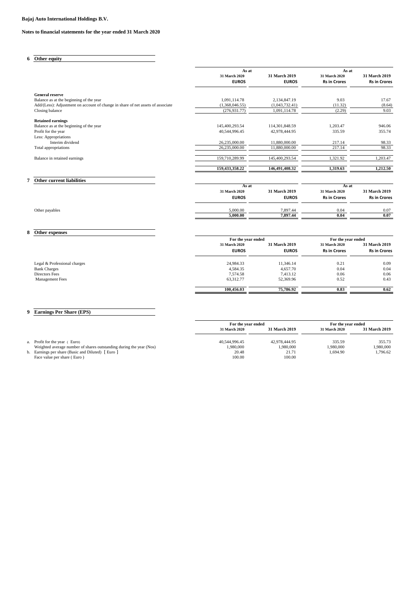### **Notes to financial statements for the year ended 31 March 2020**

**6 Other equity**

|                                                                                 | As at                         |                               | As at                                |                                      |
|---------------------------------------------------------------------------------|-------------------------------|-------------------------------|--------------------------------------|--------------------------------------|
|                                                                                 | 31 March 2020<br><b>EUROS</b> | 31 March 2019<br><b>EUROS</b> | 31 March 2020<br><b>Rs in Crores</b> | 31 March 2019<br><b>Rs in Crores</b> |
| <b>General reserve</b>                                                          |                               |                               |                                      |                                      |
| Balance as at the beginning of the year                                         | 1,091,114.78                  | 2,134,847.19                  | 9.03                                 | 17.67                                |
| Add/(Less): Adjustment on account of change in share of net assets of associate | (1,368,046.55)                | (1,043,732.41)                | (11.32)                              | (8.64)                               |
| Closing balance                                                                 | (276, 931.77)                 | 1,091,114.78                  | (2.29)                               | 9.03                                 |
| <b>Retained earnings</b>                                                        |                               |                               |                                      |                                      |
| Balance as at the beginning of the year                                         | 145,400,293.54                | 114,301,848.59                | 1,203.47                             | 946.06                               |
| Profit for the year                                                             | 40,544,996.45                 | 42,978,444.95                 | 335.59                               | 355.74                               |
| Less: Appropriations                                                            |                               |                               |                                      |                                      |
| Interim dividend                                                                | 26,235,000.00                 | 11,880,000.00                 | 217.14                               | 98.33                                |
| Total appropriations                                                            | 26,235,000.00                 | 11,880,000.00                 | 217.14                               | 98.33                                |
| Balance in retained earnings                                                    | 159,710,289.99                | 145,400,293.54                | 1,321.92                             | 1,203.47                             |
|                                                                                 | 159,433,358.22                | 146,491,408.32                | 1,319.63                             | 1,212.50                             |
| Other current liabilities                                                       |                               |                               |                                      |                                      |
|                                                                                 | As at                         |                               | As at                                |                                      |
|                                                                                 | 31 March 2020                 | 31 March 2019                 | 31 March 2020                        | 31 March 2019                        |
|                                                                                 | <b>EUROS</b>                  | <b>EUROS</b>                  | <b>Rs in Crores</b>                  | <b>Rs in Crores</b>                  |
| Other payables                                                                  | 5,000.00                      | 7,897.44                      | 0.04                                 | 0.07                                 |
|                                                                                 | 5.000.00                      | 7,897.44                      | 0.04                                 | 0.07                                 |

|                              | For the year ended |               | For the year ended  |                     |
|------------------------------|--------------------|---------------|---------------------|---------------------|
|                              | 31 March 2020      | 31 March 2019 | 31 March 2020       | 31 March 2019       |
|                              | <b>EUROS</b>       | <b>EUROS</b>  | <b>Rs in Crores</b> | <b>Rs in Crores</b> |
| Legal & Professional charges | 24,984.33          | 11.346.14     | 0.21                | 0.09                |
| <b>Bank Charges</b>          | 4,584.35           | 4,657.70      | 0.04                | 0.04                |
| Directors Fees               | 7,574.58           | 7,413.12      | 0.06                | 0.06                |
| <b>Management Fees</b>       | 63,312.77          | 52,369.96     | 0.52                | 0.43                |
|                              | 100.456.03         | 75,786.92     | 0.83                | 0.62                |

### **9 Earnings Per Share (EPS)**

**8 Other expenses**

|                                                                                  | For the year ended   |                      |               | For the year ended |  |
|----------------------------------------------------------------------------------|----------------------|----------------------|---------------|--------------------|--|
|                                                                                  | <b>31 March 2020</b> | <b>31 March 2019</b> | 31 March 2020 | 31 March 2019      |  |
| a. Profit for the year (Euro)                                                    | 40.544.996.45        | 42,978,444.95        | 335.59        | 355.73             |  |
| Weighted average number of shares outstanding during the year (Nos)              | 1.980.000            | 1.980.000            | 1.980.000     | 1.980.000          |  |
| b. Earnings per share (Basic and Diluted) [Euro ]<br>Face value per share (Euro) | 20.48<br>100.00      | 21.71<br>100.00      | 1.694.90      | 1.796.62           |  |